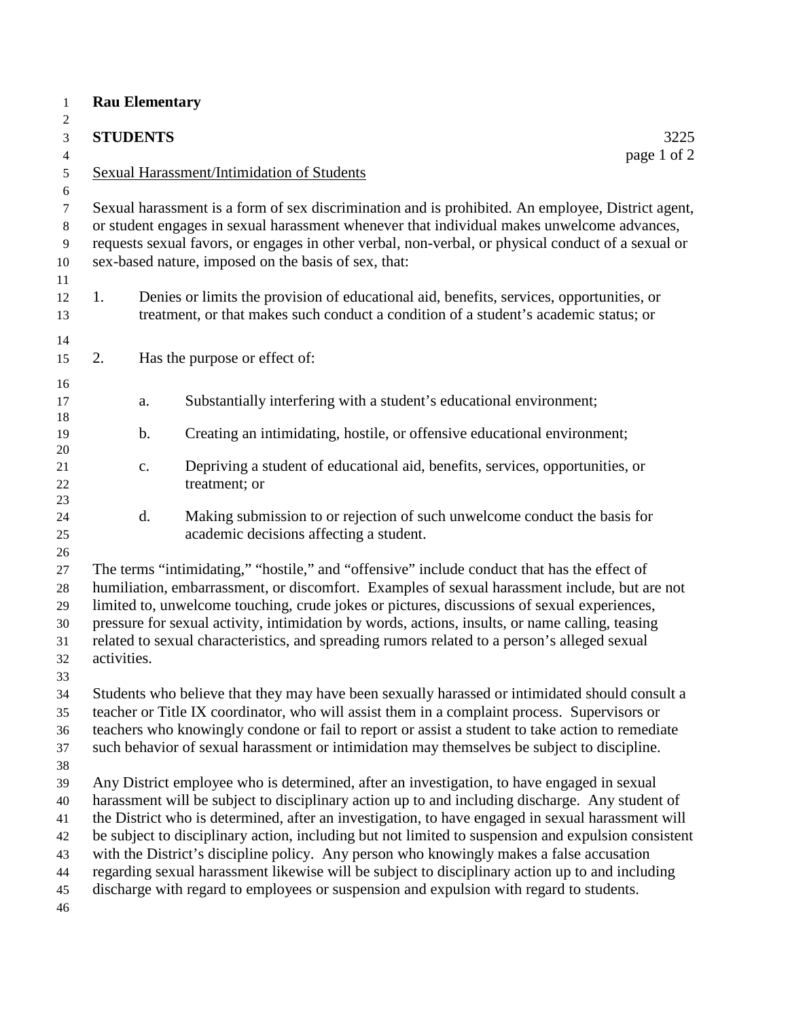| 1                                                            | <b>Rau Elementary</b>                                                                                                                                                                                                                                                                                                                                                                                                                                                                                         |                                                                                                                                                                                                                                                                                                                                                                                                                                                                                                                                                                                                                                                                                                     |                                                                                                                                                                                  |  |  |  |
|--------------------------------------------------------------|---------------------------------------------------------------------------------------------------------------------------------------------------------------------------------------------------------------------------------------------------------------------------------------------------------------------------------------------------------------------------------------------------------------------------------------------------------------------------------------------------------------|-----------------------------------------------------------------------------------------------------------------------------------------------------------------------------------------------------------------------------------------------------------------------------------------------------------------------------------------------------------------------------------------------------------------------------------------------------------------------------------------------------------------------------------------------------------------------------------------------------------------------------------------------------------------------------------------------------|----------------------------------------------------------------------------------------------------------------------------------------------------------------------------------|--|--|--|
| 2                                                            |                                                                                                                                                                                                                                                                                                                                                                                                                                                                                                               |                                                                                                                                                                                                                                                                                                                                                                                                                                                                                                                                                                                                                                                                                                     |                                                                                                                                                                                  |  |  |  |
| $\mathfrak{Z}$                                               |                                                                                                                                                                                                                                                                                                                                                                                                                                                                                                               | <b>STUDENTS</b>                                                                                                                                                                                                                                                                                                                                                                                                                                                                                                                                                                                                                                                                                     | 3225                                                                                                                                                                             |  |  |  |
| $\overline{4}$                                               | page 1 of 2                                                                                                                                                                                                                                                                                                                                                                                                                                                                                                   |                                                                                                                                                                                                                                                                                                                                                                                                                                                                                                                                                                                                                                                                                                     |                                                                                                                                                                                  |  |  |  |
| 5                                                            | Sexual Harassment/Intimidation of Students                                                                                                                                                                                                                                                                                                                                                                                                                                                                    |                                                                                                                                                                                                                                                                                                                                                                                                                                                                                                                                                                                                                                                                                                     |                                                                                                                                                                                  |  |  |  |
| $\sqrt{6}$<br>$\boldsymbol{7}$<br>$8\,$<br>9<br>$10\,$<br>11 | Sexual harassment is a form of sex discrimination and is prohibited. An employee, District agent,<br>or student engages in sexual harassment whenever that individual makes unwelcome advances,<br>requests sexual favors, or engages in other verbal, non-verbal, or physical conduct of a sexual or<br>sex-based nature, imposed on the basis of sex, that:                                                                                                                                                 |                                                                                                                                                                                                                                                                                                                                                                                                                                                                                                                                                                                                                                                                                                     |                                                                                                                                                                                  |  |  |  |
| 12<br>13                                                     | 1.                                                                                                                                                                                                                                                                                                                                                                                                                                                                                                            |                                                                                                                                                                                                                                                                                                                                                                                                                                                                                                                                                                                                                                                                                                     | Denies or limits the provision of educational aid, benefits, services, opportunities, or<br>treatment, or that makes such conduct a condition of a student's academic status; or |  |  |  |
| 14<br>15                                                     | 2.                                                                                                                                                                                                                                                                                                                                                                                                                                                                                                            |                                                                                                                                                                                                                                                                                                                                                                                                                                                                                                                                                                                                                                                                                                     | Has the purpose or effect of:                                                                                                                                                    |  |  |  |
| 16<br>17<br>18                                               |                                                                                                                                                                                                                                                                                                                                                                                                                                                                                                               | a.                                                                                                                                                                                                                                                                                                                                                                                                                                                                                                                                                                                                                                                                                                  | Substantially interfering with a student's educational environment;                                                                                                              |  |  |  |
| 19<br>$20\,$                                                 |                                                                                                                                                                                                                                                                                                                                                                                                                                                                                                               | $\mathbf b$ .                                                                                                                                                                                                                                                                                                                                                                                                                                                                                                                                                                                                                                                                                       | Creating an intimidating, hostile, or offensive educational environment;                                                                                                         |  |  |  |
| 21<br>22<br>23                                               |                                                                                                                                                                                                                                                                                                                                                                                                                                                                                                               | $\mathbf{C}$ .                                                                                                                                                                                                                                                                                                                                                                                                                                                                                                                                                                                                                                                                                      | Depriving a student of educational aid, benefits, services, opportunities, or<br>treatment; or                                                                                   |  |  |  |
| 24<br>25<br>26                                               |                                                                                                                                                                                                                                                                                                                                                                                                                                                                                                               | d.                                                                                                                                                                                                                                                                                                                                                                                                                                                                                                                                                                                                                                                                                                  | Making submission to or rejection of such unwelcome conduct the basis for<br>academic decisions affecting a student.                                                             |  |  |  |
| $27\,$<br>$28\,$<br>29<br>30<br>31<br>32<br>33               | The terms "intimidating," "hostile," and "offensive" include conduct that has the effect of<br>humiliation, embarrassment, or discomfort. Examples of sexual harassment include, but are not<br>limited to, unwelcome touching, crude jokes or pictures, discussions of sexual experiences,<br>pressure for sexual activity, intimidation by words, actions, insults, or name calling, teasing<br>related to sexual characteristics, and spreading rumors related to a person's alleged sexual<br>activities. |                                                                                                                                                                                                                                                                                                                                                                                                                                                                                                                                                                                                                                                                                                     |                                                                                                                                                                                  |  |  |  |
| 34<br>35<br>36<br>37<br>38                                   | Students who believe that they may have been sexually harassed or intimidated should consult a<br>teacher or Title IX coordinator, who will assist them in a complaint process. Supervisors or<br>teachers who knowingly condone or fail to report or assist a student to take action to remediate<br>such behavior of sexual harassment or intimidation may themselves be subject to discipline.                                                                                                             |                                                                                                                                                                                                                                                                                                                                                                                                                                                                                                                                                                                                                                                                                                     |                                                                                                                                                                                  |  |  |  |
| 39<br>40<br>41<br>42<br>43<br>$44$<br>45<br>46               |                                                                                                                                                                                                                                                                                                                                                                                                                                                                                                               | Any District employee who is determined, after an investigation, to have engaged in sexual<br>harassment will be subject to disciplinary action up to and including discharge. Any student of<br>the District who is determined, after an investigation, to have engaged in sexual harassment will<br>be subject to disciplinary action, including but not limited to suspension and expulsion consistent<br>with the District's discipline policy. Any person who knowingly makes a false accusation<br>regarding sexual harassment likewise will be subject to disciplinary action up to and including<br>discharge with regard to employees or suspension and expulsion with regard to students. |                                                                                                                                                                                  |  |  |  |